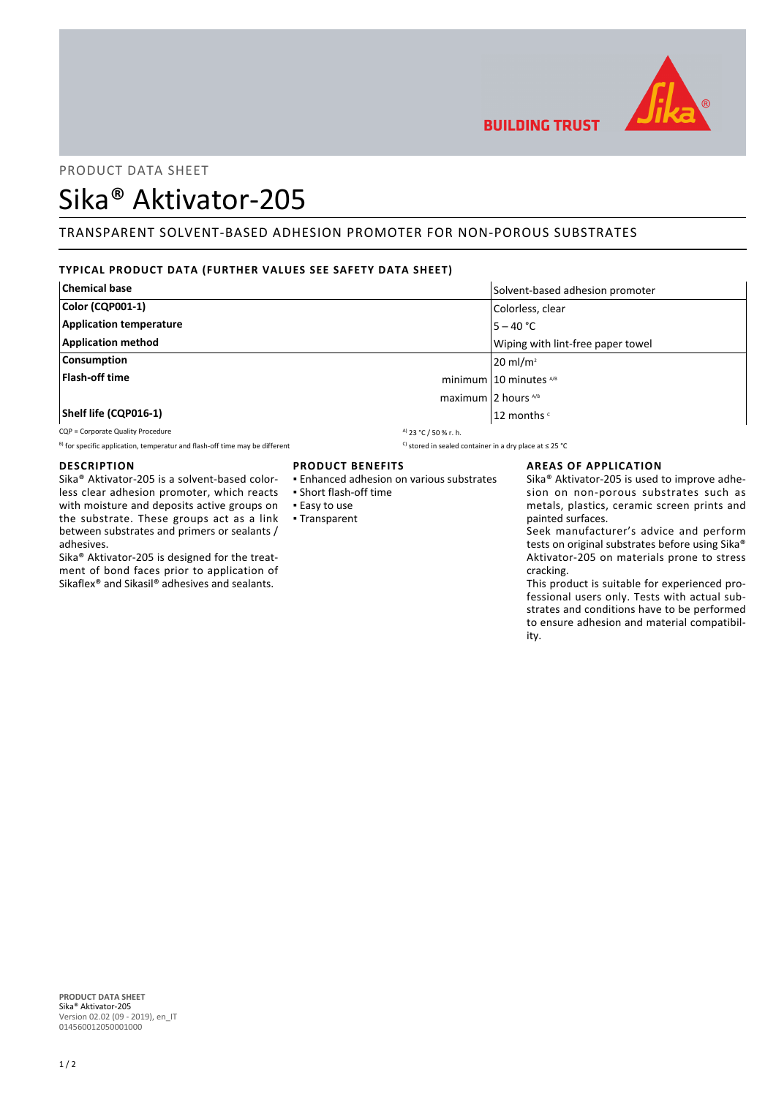

## PRODUCT DATA SHEET

# Sika® Aktivator-205

# TRANSPARENT SOLVENT-BASED ADHESION PROMOTER FOR NON-POROUS SUBSTRATES

## **TYPICAL PRODUCT DATA (FURTHER VALUES SEE SAFETY DATA SHEET)**

| <b>Chemical base</b>           | Solvent-based adhesion promoter   |
|--------------------------------|-----------------------------------|
| Color (CQP001-1)               | Colorless, clear                  |
| <b>Application temperature</b> | $5 - 40 °C$                       |
| <b>Application method</b>      | Wiping with lint-free paper towel |
| Consumption                    | $20 \text{ ml/m}^2$               |
| Flash-off time                 | minimum $10$ minutes $^{18}$      |
| maximum 2 hours $4/8$          |                                   |
| Shelf life (CQP016-1)          | 12 months c                       |

CQP = Corporate Quality Procedure  $\frac{a_1}{2}$  23 °C / 50 % r. h.

B) for specific application, temperatur and flash-off time may be different C) stored in sealed container in a dry place at ≤ 25 °C

## **DESCRIPTION**

Sika® Aktivator-205 is a solvent-based colorless clear adhesion promoter, which reacts with moisture and deposits active groups on the substrate. These groups act as a link between substrates and primers or sealants / adhesives.

Sika® Aktivator-205 is designed for the treatment of bond faces prior to application of Sikaflex® and Sikasil® adhesives and sealants.

## **PRODUCT BENEFITS**

- Enhanced adhesion on various substrates
- Short flash-off time
- Easy to use
- Transparent
- 

## **AREAS OF APPLICATION**

Sika® Aktivator-205 is used to improve adhesion on non-porous substrates such as metals, plastics, ceramic screen prints and painted surfaces.

Seek manufacturer's advice and perform tests on original substrates before using Sika® Aktivator-205 on materials prone to stress cracking.

This product is suitable for experienced professional users only. Tests with actual substrates and conditions have to be performed to ensure adhesion and material compatibility.

**PRODUCT DATA SHEET** Sika® Aktivator-205 Version 02.02 (09 - 2019), en\_IT 014560012050001000